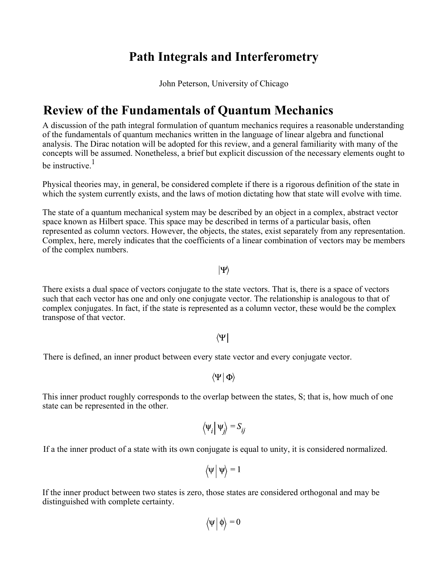# **Path Integrals and Interferometry**

John Peterson, University of Chicago

## **Review of the Fundamentals of Quantum Mechanics**

A discussion of the path integral formulation of quantum mechanics requires a reasonable understanding of the fundamentals of quantum mechanics written in the language of linear algebra and functional analysis. The Dirac notation will be adopted for this review, and a general familiarity with many of the concepts will be assumed. Nonetheless, a brief but explicit discussion of the necessary elements ought to be instructive.<sup>1</sup>

Physical theories may, in general, be considered complete if there is a rigorous definition of the state in which the system currently exists, and the laws of motion dictating how that state will evolve with time.

The state of a quantum mechanical system may be described by an object in a complex, abstract vector space known as Hilbert space. This space may be described in terms of a particular basis, often represented as column vectors. However, the objects, the states, exist separately from any representation. Complex, here, merely indicates that the coefficients of a linear combination of vectors may be members of the complex numbers.

#### $|\Psi\rangle$

There exists a dual space of vectors conjugate to the state vectors. That is, there is a space of vectors such that each vector has one and only one conjugate vector. The relationship is analogous to that of complex conjugates. In fact, if the state is represented as a column vector, these would be the complex transpose of that vector.

#### $|\Psi\rangle$

There is defined, an inner product between every state vector and every conjugate vector.

$$
\langle \Psi | \Psi \rangle
$$

This inner product roughly corresponds to the overlap between the states, S; that is, how much of one state can be represented in the other.

$$
\left\langle \Psi_i \right| \Psi_j \rangle = S_{ij}
$$

If a the inner product of a state with its own conjugate is equal to unity, it is considered normalized.

$$
\langle \Psi | \Psi \rangle = 1
$$

If the inner product between two states is zero, those states are considered orthogonal and may be distinguished with complete certainty.

$$
\left\langle \psi\left|\left.\phi\right\rangle \right.\right.=0
$$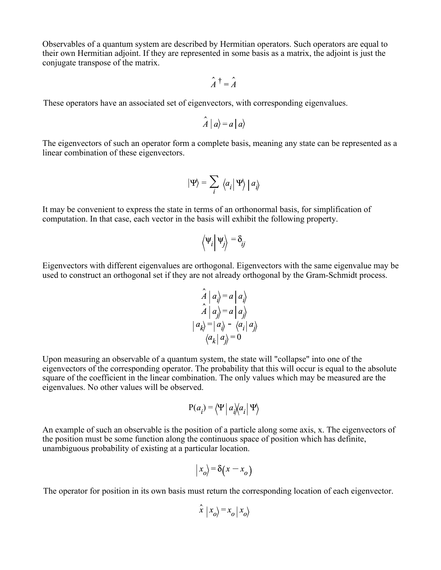Observables of a quantum system are described by Hermitian operators. Such operators are equal to their own Hermitian adjoint. If they are represented in some basis as a matrix, the adjoint is just the conjugate transpose of the matrix.

$$
\hat{A}^{\dagger} = \hat{A}
$$

These operators have an associated set of eigenvectors, with corresponding eigenvalues.

$$
\hat{A} \mid a \rangle = a \mid a \rangle
$$

The eigenvectors of such an operator form a complete basis, meaning any state can be represented as a linear combination of these eigenvectors.

$$
|\Psi\rangle = \sum_{i} \langle a_{i} | \Psi \rangle | a_{i} \rangle
$$

It may be convenient to express the state in terms of an orthonormal basis, for simplification of computation. In that case, each vector in the basis will exhibit the following property.

$$
\left\langle \Psi_i \right| \Psi_j \rangle = \delta_{ij}
$$

Eigenvectors with different eigenvalues are orthogonal. Eigenvectors with the same eigenvalue may be used to construct an orthogonal set if they are not already orthogonal by the Gram-Schmidt process.

$$
\hat{A} \mid a_i \rangle = a \mid a_i \rangle
$$
\n
$$
\hat{A} \mid a_j \rangle = a \mid a_j \rangle
$$
\n
$$
\mid a_k \rangle = \mid a_i \rangle - \langle a_i \mid a_j \rangle
$$
\n
$$
\langle a_k \mid a_j \rangle = 0
$$

Upon measuring an observable of a quantum system, the state will "collapse" into one of the eigenvectors of the corresponding operator. The probability that this will occur is equal to the absolute square of the coefficient in the linear combination. The only values which may be measured are the eigenvalues. No other values will be observed.

$$
P(a_i) = \langle \Psi | a_i | a_i | \Psi \rangle
$$

An example of such an observable is the position of a particle along some axis, x. The eigenvectors of the position must be some function along the continuous space of position which has definite, unambiguous probability of existing at a particular location.

$$
\left| x_{o} \right\rangle = \delta(x - x_{o})
$$

The operator for position in its own basis must return the corresponding location of each eigenvector.

$$
\hat{x} \mid x_o \rangle = x_o \mid x_o \rangle
$$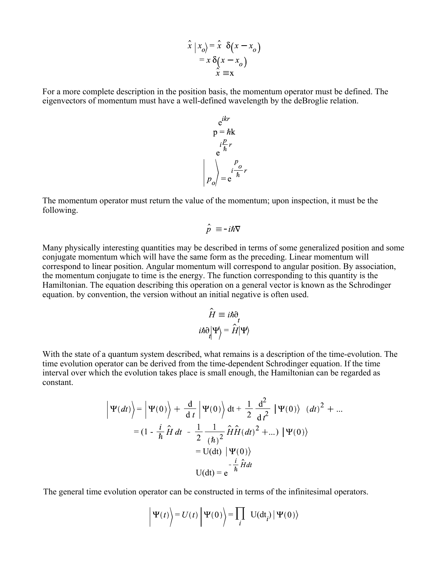$$
\hat{x} \mid x_o = \hat{x} \quad \delta(x - x_o)
$$
\n
$$
= x \delta(x - x_o)
$$
\n
$$
\hat{x} \equiv x
$$

For a more complete description in the position basis, the momentum operator must be defined. The eigenvectors of momentum must have a well-defined wavelength by the deBroglie relation.

$$
e^{ikr}
$$
  
\n
$$
p = \hbar k
$$
  
\n
$$
i\frac{p}{\hbar}r
$$
  
\n
$$
e^{i\frac{p}{\hbar}r}
$$
  
\n
$$
p_o
$$
  
\n
$$
= e^{i\frac{p}{\hbar}r}
$$

The momentum operator must return the value of the momentum; upon inspection, it must be the following.

$$
\hat{p} \equiv -i\hbar \nabla
$$

Many physically interesting quantities may be described in terms of some generalized position and some conjugate momentum which will have the same form as the preceding. Linear momentum will correspond to linear position. Angular momentum will correspond to angular position. By association, the momentum conjugate to time is the energy. The function corresponding to this quantity is the Hamiltonian. The equation describing this operation on a general vector is known as the Schrodinger equation. by convention, the version without an initial negative is often used.

$$
\hat{H} \equiv i\hbar \partial_t
$$

$$
i\hbar \partial_j |\Psi\rangle = \hat{H} |\Psi\rangle
$$

With the state of a quantum system described, what remains is a description of the time-evolution. The time evolution operator can be derived from the time-dependent Schrodinger equation. If the time interval over which the evolution takes place is small enough, the Hamiltonian can be regarded as constant.

$$
\left|\Psi(dt)\right\rangle = \left|\Psi(0)\right\rangle + \frac{d}{dt}\left|\Psi(0)\right\rangle dt + \frac{1}{2}\frac{d^2}{dt^2}\left|\Psi(0)\right\rangle (dt)^2 + \dots
$$

$$
= (1 - \frac{i}{\hbar}\hat{H}dt - \frac{1}{2}\frac{1}{(\hbar)^2}\hat{H}\hat{H}(dt)^2 + \dots)\left|\Psi(0)\right\rangle
$$

$$
= U(dt)\left|\Psi(0)\right\rangle
$$

$$
U(dt) = e^{-\frac{i}{\hbar}\hat{H}dt}
$$

The general time evolution operator can be constructed in terms of the infinitesimal operators.

$$
\left| \Psi(t) \right\rangle = U(t) \left| \Psi(0) \right\rangle = \prod_{i} \left| U(dt_i) \right| \Psi(0) \rangle
$$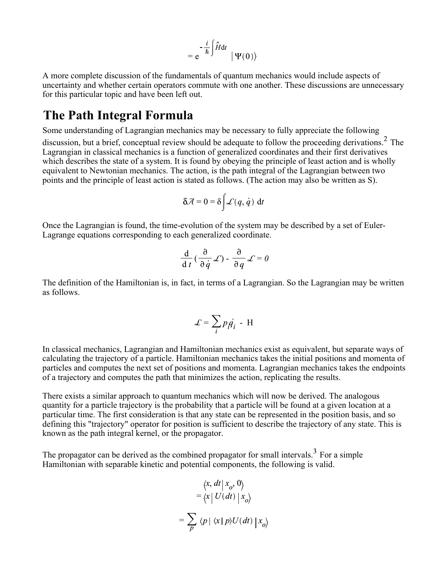$$
= e^{-\frac{i}{\hbar}\int \hat{H} dt} \left| \Psi(0) \right\rangle
$$

A more complete discussion of the fundamentals of quantum mechanics would include aspects of uncertainty and whether certain operators commute with one another. These discussions are unnecessary for this particular topic and have been left out.

## **The Path Integral Formula**

Some understanding of Lagrangian mechanics may be necessary to fully appreciate the following discussion, but a brief, conceptual review should be adequate to follow the proceeding derivations.<sup>2</sup> The Lagrangian in classical mechanics is a function of generalized coordinates and their first derivatives which describes the state of a system. It is found by obeying the principle of least action and is wholly equivalent to Newtonian mechanics. The action, is the path integral of the Lagrangian between two points and the principle of least action is stated as follows. (The action may also be written as S).

$$
\delta \mathcal{A} = 0 = \delta \int \mathcal{L}(q, \dot{q}) \, dt
$$

Once the Lagrangian is found, the time-evolution of the system may be described by a set of Euler-Lagrange equations corresponding to each generalized coordinate.

$$
\frac{\mathrm{d}}{\mathrm{d}t} \left( \frac{\partial}{\partial \dot{q}} \mathcal{L} \right) - \frac{\partial}{\partial q} \mathcal{L} = 0
$$

The definition of the Hamiltonian is, in fact, in terms of a Lagrangian. So the Lagrangian may be written as follows.

$$
\mathcal{L} = \sum_{i} p_i \dot{q}_i - \mathbf{H}
$$

In classical mechanics, Lagrangian and Hamiltonian mechanics exist as equivalent, but separate ways of calculating the trajectory of a particle. Hamiltonian mechanics takes the initial positions and momenta of particles and computes the next set of positions and momenta. Lagrangian mechanics takes the endpoints of a trajectory and computes the path that minimizes the action, replicating the results.

There exists a similar approach to quantum mechanics which will now be derived. The analogous quantity for a particle trajectory is the probability that a particle will be found at a given location at a particular time. The first consideration is that any state can be represented in the position basis, and so defining this "trajectory" operator for position is sufficient to describe the trajectory of any state. This is known as the path integral kernel, or the propagator.

The propagator can be derived as the combined propagator for small intervals.<sup>3</sup> For a simple Hamiltonian with separable kinetic and potential components, the following is valid.

$$
\langle x, dt | x_o, 0 \rangle
$$
  
=  $\langle x | U(dt) | x_o \rangle$   
=  $\sum_p \langle p | \langle x | p \rangle U(dt) | x_o \rangle$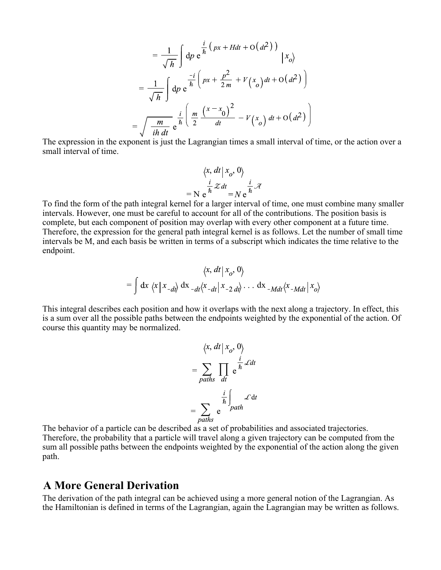$$
= \frac{1}{\sqrt{h}} \int dp e^{\frac{i}{h} (\rho x + H dt + O(dt^2))} |x_0\rangle
$$
  

$$
= \frac{1}{\sqrt{h}} \int dp e^{\frac{-i}{h} (\rho x + \frac{p^2}{2m} + V(x_0) dt + O(dt^2))}
$$
  

$$
= \sqrt{\frac{m}{ih dt}} e^{\frac{i}{h} (\frac{m}{2} (\frac{x - x_0)^2}{dt} - V(x_0) dt + O(dt^2))}
$$

The expression in the exponent is just the Lagrangian times a small interval of time, or the action over a small interval of time.

$$
\langle x, dt | x_o, 0 \rangle
$$
  
= N e <sup>$\frac{i}{\hbar}$</sup>  z dt = N e <sup>$\frac{i}{\hbar}$</sup>  A

To find the form of the path integral kernel for a larger interval of time, one must combine many smaller intervals. However, one must be careful to account for all of the contributions. The position basis is complete, but each component of position may overlap with every other component at a future time. Therefore, the expression for the general path integral kernel is as follows. Let the number of small time intervals be M, and each basis be written in terms of a subscript which indicates the time relative to the endpoint.

$$
\langle x, dt | x_o, 0 \rangle
$$
  
=  $\int dx \langle x | x_{-dt} \rangle dx_{-dt} \langle x_{-dt} | x_{-2} dt \rangle \dots dx_{-Mdt} \langle x_{-Mdt} | x_o \rangle$ 

This integral describes each position and how it overlaps with the next along a trajectory. In effect, this is a sum over all the possible paths between the endpoints weighted by the exponential of the action. Of course this quantity may be normalized.

$$
\langle x, dt | x_o, 0 \rangle
$$
  
=  $\sum_{paths} \prod_{dt} e^{\frac{i}{\hbar} \mathcal{L} dt}$   
=  $\sum_{paths} e^{\frac{i}{\hbar} \int_{path} \mathcal{L} dt}$ 

The behavior of a particle can be described as a set of probabilities and associated trajectories. Therefore, the probability that a particle will travel along a given trajectory can be computed from the sum all possible paths between the endpoints weighted by the exponential of the action along the given path.

#### **A More General Derivation**

The derivation of the path integral can be achieved using a more general notion of the Lagrangian. As the Hamiltonian is defined in terms of the Lagrangian, again the Lagrangian may be written as follows.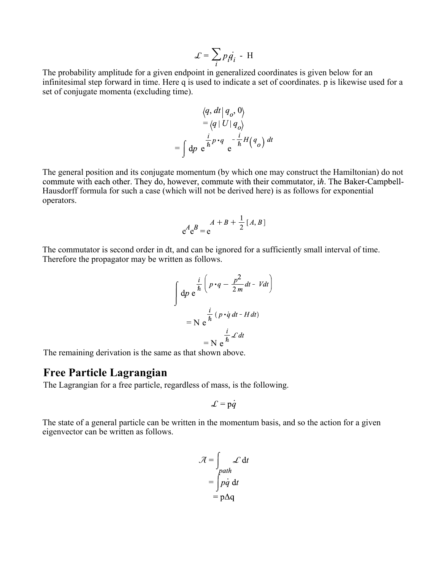$$
\mathcal{L} = \sum_{i} p_i \dot{q}_i - \mathbf{H}
$$

The probability amplitude for a given endpoint in generalized coordinates is given below for an infinitesimal step forward in time. Here q is used to indicate a set of coordinates. p is likewise used for a set of conjugate momenta (excluding time).

$$
\langle q, dt | q_o, 0 \rangle
$$
  
=  $\langle q | U | q_o \rangle$   
=  $\int dp e^{\frac{i}{\hbar} p \cdot q} e^{-\frac{i}{\hbar} H(q_o) dt}$ 

The general position and its conjugate momentum (by which one may construct the Hamiltonian) do not commute with each other. They do, however, commute with their commutator, ih. The Baker-Campbell-Hausdorff formula for such a case (which will not be derived here) is as follows for exponential operators.

$$
e^{A}e^{B} = e^{A+B+\frac{1}{2}[A,B]}
$$

The commutator is second order in dt, and can be ignored for a sufficiently small interval of time. Therefore the propagator may be written as follows.

$$
\int dp e^{\frac{i}{\hbar} \left( p \cdot q - \frac{p^2}{2m} dt - V dt \right)}
$$

$$
= N e^{\frac{i}{\hbar} \left( p \cdot \dot{q} dt - H dt \right)}
$$

$$
= N e^{\frac{i}{\hbar} \mathcal{L} dt}
$$

The remaining derivation is the same as that shown above.

#### **Free Particle Lagrangian**

The Lagrangian for a free particle, regardless of mass, is the following.

$$
\mathcal{L} = \mathsf{p}\dot{q}
$$

The state of a general particle can be written in the momentum basis, and so the action for a given eigenvector can be written as follows.

$$
\mathcal{A} = \int_{path} \mathcal{L} dt
$$

$$
= \int_{0}^{path} p\dot{q} dt
$$

$$
= p\Delta q
$$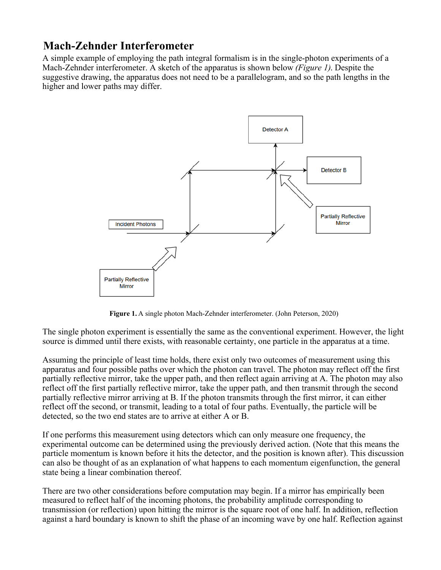## **Mach-Zehnder Interferometer**

A simple example of employing the path integral formalism is in the single-photon experiments of a Mach-Zehnder interferometer. A sketch of the apparatus is shown below *(Figure 1)*. Despite the suggestive drawing, the apparatus does not need to be a parallelogram, and so the path lengths in the higher and lower paths may differ.



**Figure 1.** A single photon Mach-Zehnder interferometer. (John Peterson, 2020)

The single photon experiment is essentially the same as the conventional experiment. However, the light source is dimmed until there exists, with reasonable certainty, one particle in the apparatus at a time.

Assuming the principle of least time holds, there exist only two outcomes of measurement using this apparatus and four possible paths over which the photon can travel. The photon may reflect off the first partially reflective mirror, take the upper path, and then reflect again arriving at A. The photon may also reflect off the first partially reflective mirror, take the upper path, and then transmit through the second partially reflective mirror arriving at B. If the photon transmits through the first mirror, it can either reflect off the second, or transmit, leading to a total of four paths. Eventually, the particle will be detected, so the two end states are to arrive at either A or B.

If one performs this measurement using detectors which can only measure one frequency, the experimental outcome can be determined using the previously derived action. (Note that this means the particle momentum is known before it hits the detector, and the position is known after). This discussion can also be thought of as an explanation of what happens to each momentum eigenfunction, the general state being a linear combination thereof.

There are two other considerations before computation may begin. If a mirror has empirically been measured to reflect half of the incoming photons, the probability amplitude corresponding to transmission (or reflection) upon hitting the mirror is the square root of one half. In addition, reflection against a hard boundary is known to shift the phase of an incoming wave by one half. Reflection against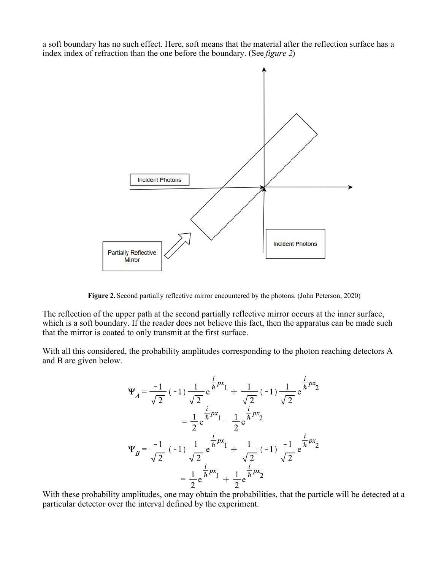a soft boundary has no such effect. Here, soft means that the material after the reflection surface has a index index of refraction than the one before the boundary. (See *figure 2*)



**Figure 2.** Second partially reflective mirror encountered by the photons. (John Peterson, 2020)

The reflection of the upper path at the second partially reflective mirror occurs at the inner surface, which is a soft boundary. If the reader does not believe this fact, then the apparatus can be made such that the mirror is coated to only transmit at the first surface.

With all this considered, the probability amplitudes corresponding to the photon reaching detectors A and B are given below.

$$
\Psi_{A} = \frac{-1}{\sqrt{2}} (-1) \frac{1}{\sqrt{2}} e^{\frac{i}{\hbar} px_{1}} + \frac{1}{\sqrt{2}} (-1) \frac{1}{\sqrt{2}} e^{\frac{i}{\hbar} px_{2}}
$$
  

$$
= \frac{1}{2} e^{\frac{i}{\hbar} px_{1}} - \frac{1}{2} e^{\frac{i}{\hbar} px_{2}}
$$
  

$$
\Psi_{B} = \frac{-1}{\sqrt{2}} (-1) \frac{1}{\sqrt{2}} e^{\frac{i}{\hbar} px_{1}} + \frac{1}{\sqrt{2}} (-1) \frac{-1}{\sqrt{2}} e^{\frac{i}{\hbar} px_{2}}
$$
  

$$
= \frac{1}{2} e^{\frac{i}{\hbar} px_{1}} + \frac{1}{2} e^{\frac{i}{\hbar} px_{2}}
$$

With these probability amplitudes, one may obtain the probabilities, that the particle will be detected at a particular detector over the interval defined by the experiment.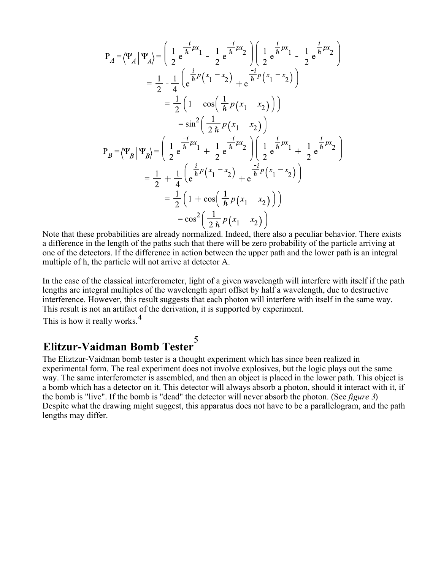$$
P_{A} = \langle \Psi_{A} | \Psi_{A} \rangle = \left( \frac{1}{2} e^{-\frac{i}{\hbar} px} \right) - \frac{1}{2} e^{-\frac{i}{\hbar} px} \left( \frac{1}{2} e^{-\frac{i}{\hbar} px} \right) - \frac{1}{2} e^{-\frac{i}{\hbar} px} \right)
$$
  
\n
$$
= \frac{1}{2} - \frac{1}{4} \left( e^{-\frac{i}{\hbar} p (x_1 - x_2)} + e^{-\frac{i}{\hbar} p (x_1 - x_2)} \right)
$$
  
\n
$$
= \frac{1}{2} \left( 1 - \cos \left( \frac{1}{\hbar} p (x_1 - x_2) \right) \right)
$$
  
\n
$$
= \sin^{2} \left( \frac{1}{2 \hbar} p (x_1 - x_2) \right)
$$
  
\n
$$
P_{B} = \langle \Psi_{B} | \Psi_{B} \rangle = \left( \frac{1}{2} e^{-\frac{i}{\hbar} px} \right) + \frac{i}{2} e^{-\frac{i}{\hbar} px} \left( \frac{1}{2} e^{-\frac{i}{\hbar} px} \right) + \frac{1}{2} e^{-\frac{i}{\hbar} px} \right)
$$
  
\n
$$
= \frac{1}{2} + \frac{1}{4} \left( e^{\frac{i}{\hbar} p (x_1 - x_2)} + e^{-\frac{i}{\hbar} p (x_1 - x_2)} \right)
$$
  
\n
$$
= \frac{1}{2} \left( 1 + \cos \left( \frac{1}{\hbar} p (x_1 - x_2) \right) \right)
$$
  
\n
$$
= \cos^{2} \left( \frac{1}{2 \hbar} p (x_1 - x_2) \right)
$$

Note that these probabilities are already normalized. Indeed, there also a peculiar behavior. There exists a difference in the length of the paths such that there will be zero probability of the particle arriving at one of the detectors. If the difference in action between the upper path and the lower path is an integral multiple of h, the particle will not arrive at detector A.

In the case of the classical interferometer, light of a given wavelength will interfere with itself if the path lengths are integral multiples of the wavelength apart offset by half a wavelength, due to destructive interference. However, this result suggests that each photon will interfere with itself in the same way. This result is not an artifact of the derivation, it is supported by experiment.

This is how it really works.<sup>4</sup>

# **Elitzur-Vaidman Bomb Tester**

The Eliztzur-Vaidman bomb tester is a thought experiment which has since been realized in experimental form. The real experiment does not involve explosives, but the logic plays out the same way. The same interferometer is assembled, and then an object is placed in the lower path. This object is a bomb which has a detector on it. This detector will always absorb a photon, should it interact with it, if the bomb is "live". If the bomb is "dead" the detector will never absorb the photon. (See *figure 3*) Despite what the drawing might suggest, this apparatus does not have to be a parallelogram, and the path lengths may differ.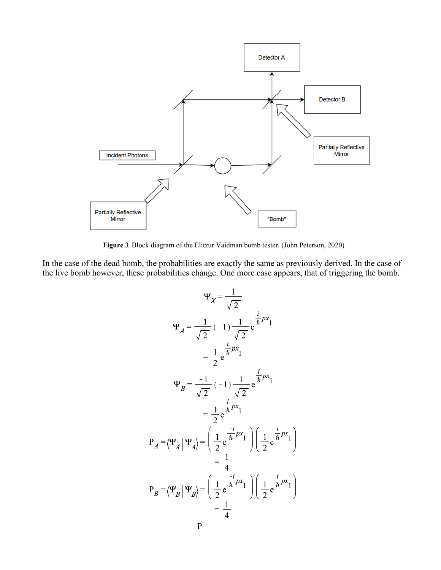

**Figure 3**. Block diagram of the Elitzur Vaidman bomb tester. (John Peterson, 2020)

In the case of the dead bomb, the probabilities are exactly the same as previously derived. In the case of the live bomb however, these probabilities change. One more case appears, that of triggering the bomb.

$$
\Psi_{A} = \frac{1}{\sqrt{2}}
$$
  
\n
$$
\Psi_{A} = \frac{-1}{\sqrt{2}} (-1) \frac{1}{\sqrt{2}} e^{\frac{i}{\hbar} px_{1}}
$$
  
\n
$$
= \frac{1}{2} e^{\frac{i}{\hbar} px_{1}}
$$
  
\n
$$
\Psi_{B} = \frac{-1}{\sqrt{2}} (-1) \frac{1}{\sqrt{2}} e^{\frac{i}{\hbar} px_{1}}
$$
  
\n
$$
= \frac{1}{2} e^{\frac{i}{\hbar} px_{1}}
$$
  
\n
$$
P_{A} = \langle \Psi_{A} | \Psi_{A} \rangle = \left( \frac{1}{2} e^{\frac{-i}{\hbar} px_{1}} \right) \left( \frac{1}{2} e^{\frac{i}{\hbar} px_{1}} \right)
$$
  
\n
$$
= \frac{1}{4}
$$
  
\n
$$
P_{B} = \langle \Psi_{B} | \Psi_{B} \rangle = \left( \frac{1}{2} e^{\frac{-i}{\hbar} px_{1}} \right) \left( \frac{1}{2} e^{\frac{i}{\hbar} px_{1}} \right)
$$
  
\n
$$
= \frac{1}{4}
$$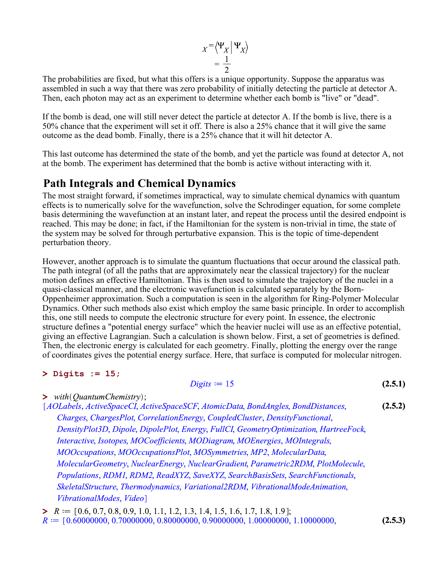$$
X = \left\langle \Psi_X \middle| \Psi_X \right\rangle
$$
  
= 
$$
\frac{1}{2}
$$

The probabilities are fixed, but what this offers is a unique opportunity. Suppose the apparatus was assembled in such a way that there was zero probability of initially detecting the particle at detector A. Then, each photon may act as an experiment to determine whether each bomb is "live" or "dead".

If the bomb is dead, one will still never detect the particle at detector A. If the bomb is live, there is a 50% chance that the experiment will set it off. There is also a 25% chance that it will give the same outcome as the dead bomb. Finally, there is a 25% chance that it will hit detector A.

This last outcome has determined the state of the bomb, and yet the particle was found at detector A, not at the bomb. The experiment has determined that the bomb is active without interacting with it.

### **Path Integrals and Chemical Dynamics**

The most straight forward, if sometimes impractical, way to simulate chemical dynamics with quantum effects is to numerically solve for the wavefunction, solve the Schrodinger equation, for some complete basis determining the wavefunction at an instant later, and repeat the process until the desired endpoint is reached. This may be done; in fact, if the Hamiltonian for the system is non-trivial in time, the state of the system may be solved for through perturbative expansion. This is the topic of time-dependent perturbation theory.

However, another approach is to simulate the quantum fluctuations that occur around the classical path. The path integral (of all the paths that are approximately near the classical trajectory) for the nuclear motion defines an effective Hamiltonian. This is then used to simulate the trajectory of the nuclei in a quasi-classical manner, and the electronic wavefunction is calculated separately by the Born-Oppenheimer approximation. Such a computation is seen in the algorithm for Ring-Polymer Molecular Dynamics. Other such methods also exist which employ the same basic principle. In order to accomplish this, one still needs to compute the electronic structure for every point. In essence, the electronic structure defines a "potential energy surface" which the heavier nuclei will use as an effective potential, giving an effective Lagrangian. Such a calculation is shown below. First, a set of geometries is defined. Then, the electronic energy is calculated for each geometry. Finally, plotting the energy over the range of coordinates gives the potential energy surface. Here, that surface is computed for molecular nitrogen.

#### **> Digits := 15;**

$$
Digits := 15 \tag{2.5.1}
$$

> with(QuantumChemistrv):

[AOLabels, ActiveSpaceCI, ActiveSpaceSCF, AtomicData, BondAngles, BondDistances, **(2.5.2)** Charges, ChargesPlot, CorrelationEnergy, CoupledCluster, DensityFunctional, DensityPlot3D, Dipole, DipolePlot, Energy, FullCI, GeometryOptimization, HartreeFock, Interactive, Isotopes, MOCoefficients, MODiagram, MOEnergies, MOIntegrals, MOOccupations, MOOccupationsPlot, MOSymmetries, MP2, MolecularData, MolecularGeometry, NuclearEnergy, NuclearGradient, Parametric2RDM, PlotMolecule, Populations, RDM1, RDM2, ReadXYZ, SaveXYZ, SearchBasisSets, SearchFunctionals, SkeletalStructure, Thermodynamics, Variational2RDM, VibrationalModeAnimation, VibrationalModes, Video]

**(2.5.3)**  $R := [0.6, 0.7, 0.8, 0.9, 1.0, 1.1, 1.2, 1.3, 1.4, 1.5, 1.6, 1.7, 1.8, 1.9];$ <br> $R := [0.60000000, 0.70000000, 0.80000000, 0.90000000, 1.00000000, 1.10000000.$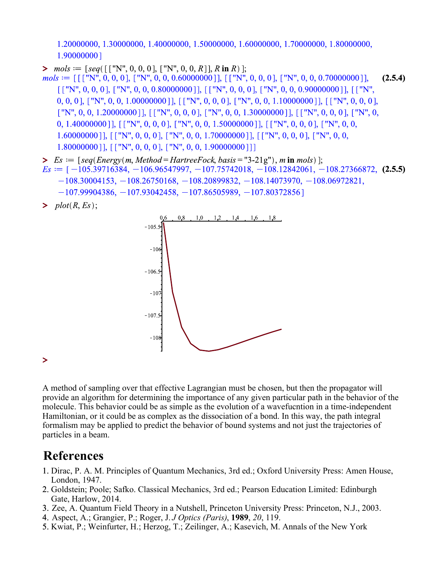1.20000000, 1.30000000, 1.40000000, 1.50000000, 1.60000000, 1.70000000, 1.80000000, 1.90000000]

- >  ${mos := [seq([["N", 0, 0, 0], ["N", 0, 0, R]], R in R)}$  $mols := [[[["\N", 0, 0, 0], [\text{ "\N", 0, 0, 0.60000000]], [["\N", 0, 0, 0], [\text{ "\N", 0, 0, 0.70000000]],$ **(2.5.4)**  $[["N", 0, 0, 0], ["N", 0, 0, 0.80000000]], [["N", 0, 0, 0], ["N", 0, 0, 0.90000000]], [["N", 0, 0, 0.90000000]],$ 0, 0, 0], ["N", 0, 0, 1.00000000]], [["N", 0, 0, 0], ["N", 0, 0, 1.10000000]], [["N", 0, 0, 0],  $\lceil "N", 0, 0, 1.20000000\rceil$ ,  $\lceil "N", 0, 0, 0 \rceil$ ,  $\lceil "N", 0, 0, 1.30000000\rceil$ ,  $\lceil "N", 0, 0, 0 \rceil$ ,  $\lceil "N", 0, 0, 0 \rceil$ 0, 1.40000000]],  $[ [ " N", 0, 0, 0 ], [ " N", 0, 0, 1.50000000 ]]$ ,  $[ [ " N", 0, 0, 0 ], [ " N", 0, 0, 0 ]$  $1.60000000$ ]], [["N", 0, 0, 0], ["N", 0, 0, 1.70000000]], [["N", 0, 0, 0], ["N", 0, 0,  $1.80000000$ ]], [["N", 0, 0, 0], ["N", 0, 0, 1.90000000]]]
- $\triangleright$   $Es := [seq(Energy(m, Method = HartreeFock, basis = "3-21g"), m \text{ in } mols) ]$ ;  $Es := [-105.39716384, -106.96547997, -107.75742018, -108.12842061, -108.27366872,$  (2.5.5)  $-108.30004153, -108.26750168, -108.20899832, -108.14073970, -108.06972821,$  $-107.99904386, -107.93042458, -107.86505989, -107.80372856$
- $\triangleright$  plot(R, Es);



#### **>**

A method of sampling over that effective Lagrangian must be chosen, but then the propagator will provide an algorithm for determining the importance of any given particular path in the behavior of the molecule. This behavior could be as simple as the evolution of a wavefucntion in a time-independent Hamiltonian, or it could be as complex as the dissociation of a bond. In this way, the path integral formalism may be applied to predict the behavior of bound systems and not just the trajectories of particles in a beam.

# **References**

- 1. Dirac, P. A. M. Principles of Quantum Mechanics, 3rd ed.; Oxford University Press: Amen House, London, 1947.
- 2. Goldstein; Poole; Safko. Classical Mechanics, 3rd ed.; Pearson Education Limited: Edinburgh Gate, Harlow, 2014.
- 3. Zee, A. Quantum Field Theory in a Nutshell, Princeton University Press: Princeton, N.J., 2003.
- 4. Aspect, A.; Grangier, P.; Roger, J. *J Optics (Paris)*, **1989**, *20*, 119.
- 5. Kwiat, P.; Weinfurter, H.; Herzog, T.; Zeilinger, A.; Kasevich, M. Annals of the New York